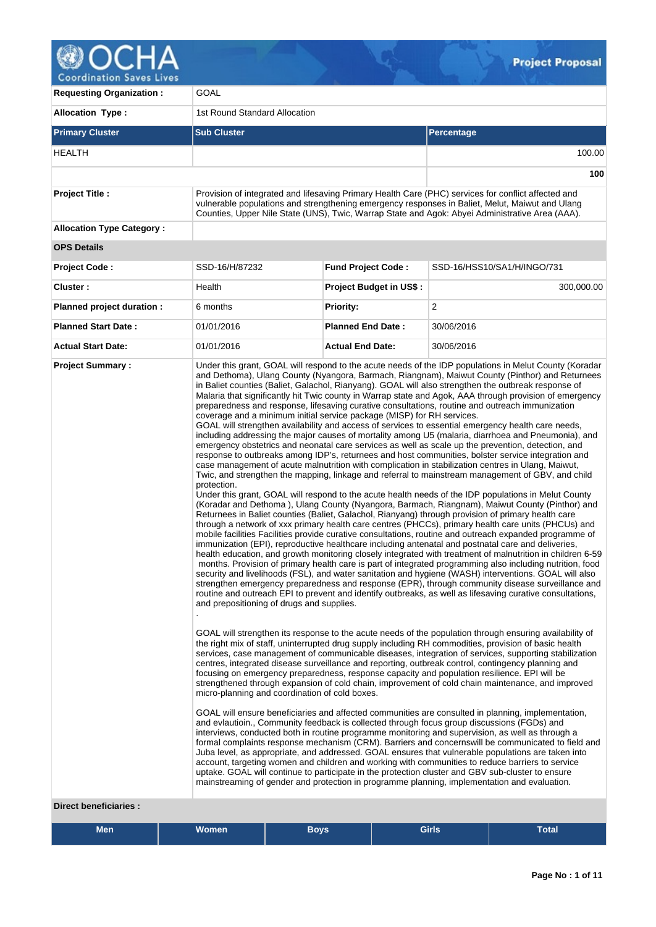

| <b>Requesting Organization:</b>  | GOAL                                                                                                                                                                                 |                                |                                                                                                                                                                                                                                                                                                                                                                                                                                                                                                                                                                                                                                                                                                                                                                                                                                                                                                                                                                                                                                                                                                                                                                                                                                                                                                                                                                                                                                                                                                                                                                                                                                                                                                                                                                                                                                                                                                                                                                                                                                                                                                                                                                                                                                                                                                                                                                                                                                                                                                                                                                                                                                                                                                                                                                                                                                                                                                                                                                                                                                                                                                                                                                                                                                                                                                                                                                                                                                                                                                                                                                                                                                                                                                                                                                                                                                       |  |
|----------------------------------|--------------------------------------------------------------------------------------------------------------------------------------------------------------------------------------|--------------------------------|---------------------------------------------------------------------------------------------------------------------------------------------------------------------------------------------------------------------------------------------------------------------------------------------------------------------------------------------------------------------------------------------------------------------------------------------------------------------------------------------------------------------------------------------------------------------------------------------------------------------------------------------------------------------------------------------------------------------------------------------------------------------------------------------------------------------------------------------------------------------------------------------------------------------------------------------------------------------------------------------------------------------------------------------------------------------------------------------------------------------------------------------------------------------------------------------------------------------------------------------------------------------------------------------------------------------------------------------------------------------------------------------------------------------------------------------------------------------------------------------------------------------------------------------------------------------------------------------------------------------------------------------------------------------------------------------------------------------------------------------------------------------------------------------------------------------------------------------------------------------------------------------------------------------------------------------------------------------------------------------------------------------------------------------------------------------------------------------------------------------------------------------------------------------------------------------------------------------------------------------------------------------------------------------------------------------------------------------------------------------------------------------------------------------------------------------------------------------------------------------------------------------------------------------------------------------------------------------------------------------------------------------------------------------------------------------------------------------------------------------------------------------------------------------------------------------------------------------------------------------------------------------------------------------------------------------------------------------------------------------------------------------------------------------------------------------------------------------------------------------------------------------------------------------------------------------------------------------------------------------------------------------------------------------------------------------------------------------------------------------------------------------------------------------------------------------------------------------------------------------------------------------------------------------------------------------------------------------------------------------------------------------------------------------------------------------------------------------------------------------------------------------------------------------------------------------------------------|--|
| <b>Allocation Type:</b>          | 1st Round Standard Allocation                                                                                                                                                        |                                |                                                                                                                                                                                                                                                                                                                                                                                                                                                                                                                                                                                                                                                                                                                                                                                                                                                                                                                                                                                                                                                                                                                                                                                                                                                                                                                                                                                                                                                                                                                                                                                                                                                                                                                                                                                                                                                                                                                                                                                                                                                                                                                                                                                                                                                                                                                                                                                                                                                                                                                                                                                                                                                                                                                                                                                                                                                                                                                                                                                                                                                                                                                                                                                                                                                                                                                                                                                                                                                                                                                                                                                                                                                                                                                                                                                                                                       |  |
| <b>Primary Cluster</b>           | <b>Sub Cluster</b>                                                                                                                                                                   |                                | Percentage                                                                                                                                                                                                                                                                                                                                                                                                                                                                                                                                                                                                                                                                                                                                                                                                                                                                                                                                                                                                                                                                                                                                                                                                                                                                                                                                                                                                                                                                                                                                                                                                                                                                                                                                                                                                                                                                                                                                                                                                                                                                                                                                                                                                                                                                                                                                                                                                                                                                                                                                                                                                                                                                                                                                                                                                                                                                                                                                                                                                                                                                                                                                                                                                                                                                                                                                                                                                                                                                                                                                                                                                                                                                                                                                                                                                                            |  |
| HEALTH                           |                                                                                                                                                                                      |                                | 100.00                                                                                                                                                                                                                                                                                                                                                                                                                                                                                                                                                                                                                                                                                                                                                                                                                                                                                                                                                                                                                                                                                                                                                                                                                                                                                                                                                                                                                                                                                                                                                                                                                                                                                                                                                                                                                                                                                                                                                                                                                                                                                                                                                                                                                                                                                                                                                                                                                                                                                                                                                                                                                                                                                                                                                                                                                                                                                                                                                                                                                                                                                                                                                                                                                                                                                                                                                                                                                                                                                                                                                                                                                                                                                                                                                                                                                                |  |
|                                  |                                                                                                                                                                                      |                                | 100                                                                                                                                                                                                                                                                                                                                                                                                                                                                                                                                                                                                                                                                                                                                                                                                                                                                                                                                                                                                                                                                                                                                                                                                                                                                                                                                                                                                                                                                                                                                                                                                                                                                                                                                                                                                                                                                                                                                                                                                                                                                                                                                                                                                                                                                                                                                                                                                                                                                                                                                                                                                                                                                                                                                                                                                                                                                                                                                                                                                                                                                                                                                                                                                                                                                                                                                                                                                                                                                                                                                                                                                                                                                                                                                                                                                                                   |  |
| <b>Project Title:</b>            |                                                                                                                                                                                      |                                | Provision of integrated and lifesaving Primary Health Care (PHC) services for conflict affected and<br>vulnerable populations and strengthening emergency responses in Baliet, Melut, Maiwut and Ulang<br>Counties, Upper Nile State (UNS), Twic, Warrap State and Agok: Abyei Administrative Area (AAA).                                                                                                                                                                                                                                                                                                                                                                                                                                                                                                                                                                                                                                                                                                                                                                                                                                                                                                                                                                                                                                                                                                                                                                                                                                                                                                                                                                                                                                                                                                                                                                                                                                                                                                                                                                                                                                                                                                                                                                                                                                                                                                                                                                                                                                                                                                                                                                                                                                                                                                                                                                                                                                                                                                                                                                                                                                                                                                                                                                                                                                                                                                                                                                                                                                                                                                                                                                                                                                                                                                                             |  |
| <b>Allocation Type Category:</b> |                                                                                                                                                                                      |                                |                                                                                                                                                                                                                                                                                                                                                                                                                                                                                                                                                                                                                                                                                                                                                                                                                                                                                                                                                                                                                                                                                                                                                                                                                                                                                                                                                                                                                                                                                                                                                                                                                                                                                                                                                                                                                                                                                                                                                                                                                                                                                                                                                                                                                                                                                                                                                                                                                                                                                                                                                                                                                                                                                                                                                                                                                                                                                                                                                                                                                                                                                                                                                                                                                                                                                                                                                                                                                                                                                                                                                                                                                                                                                                                                                                                                                                       |  |
| <b>OPS Details</b>               |                                                                                                                                                                                      |                                |                                                                                                                                                                                                                                                                                                                                                                                                                                                                                                                                                                                                                                                                                                                                                                                                                                                                                                                                                                                                                                                                                                                                                                                                                                                                                                                                                                                                                                                                                                                                                                                                                                                                                                                                                                                                                                                                                                                                                                                                                                                                                                                                                                                                                                                                                                                                                                                                                                                                                                                                                                                                                                                                                                                                                                                                                                                                                                                                                                                                                                                                                                                                                                                                                                                                                                                                                                                                                                                                                                                                                                                                                                                                                                                                                                                                                                       |  |
| <b>Project Code:</b>             | SSD-16/H/87232                                                                                                                                                                       | <b>Fund Project Code:</b>      | SSD-16/HSS10/SA1/H/INGO/731                                                                                                                                                                                                                                                                                                                                                                                                                                                                                                                                                                                                                                                                                                                                                                                                                                                                                                                                                                                                                                                                                                                                                                                                                                                                                                                                                                                                                                                                                                                                                                                                                                                                                                                                                                                                                                                                                                                                                                                                                                                                                                                                                                                                                                                                                                                                                                                                                                                                                                                                                                                                                                                                                                                                                                                                                                                                                                                                                                                                                                                                                                                                                                                                                                                                                                                                                                                                                                                                                                                                                                                                                                                                                                                                                                                                           |  |
| Cluster:                         | Health                                                                                                                                                                               | <b>Project Budget in US\$:</b> | 300,000.00                                                                                                                                                                                                                                                                                                                                                                                                                                                                                                                                                                                                                                                                                                                                                                                                                                                                                                                                                                                                                                                                                                                                                                                                                                                                                                                                                                                                                                                                                                                                                                                                                                                                                                                                                                                                                                                                                                                                                                                                                                                                                                                                                                                                                                                                                                                                                                                                                                                                                                                                                                                                                                                                                                                                                                                                                                                                                                                                                                                                                                                                                                                                                                                                                                                                                                                                                                                                                                                                                                                                                                                                                                                                                                                                                                                                                            |  |
| Planned project duration :       | 6 months                                                                                                                                                                             | Priority:                      | $\overline{2}$                                                                                                                                                                                                                                                                                                                                                                                                                                                                                                                                                                                                                                                                                                                                                                                                                                                                                                                                                                                                                                                                                                                                                                                                                                                                                                                                                                                                                                                                                                                                                                                                                                                                                                                                                                                                                                                                                                                                                                                                                                                                                                                                                                                                                                                                                                                                                                                                                                                                                                                                                                                                                                                                                                                                                                                                                                                                                                                                                                                                                                                                                                                                                                                                                                                                                                                                                                                                                                                                                                                                                                                                                                                                                                                                                                                                                        |  |
| <b>Planned Start Date:</b>       | 01/01/2016                                                                                                                                                                           | <b>Planned End Date:</b>       | 30/06/2016                                                                                                                                                                                                                                                                                                                                                                                                                                                                                                                                                                                                                                                                                                                                                                                                                                                                                                                                                                                                                                                                                                                                                                                                                                                                                                                                                                                                                                                                                                                                                                                                                                                                                                                                                                                                                                                                                                                                                                                                                                                                                                                                                                                                                                                                                                                                                                                                                                                                                                                                                                                                                                                                                                                                                                                                                                                                                                                                                                                                                                                                                                                                                                                                                                                                                                                                                                                                                                                                                                                                                                                                                                                                                                                                                                                                                            |  |
| <b>Actual Start Date:</b>        | 01/01/2016                                                                                                                                                                           | <b>Actual End Date:</b>        | 30/06/2016                                                                                                                                                                                                                                                                                                                                                                                                                                                                                                                                                                                                                                                                                                                                                                                                                                                                                                                                                                                                                                                                                                                                                                                                                                                                                                                                                                                                                                                                                                                                                                                                                                                                                                                                                                                                                                                                                                                                                                                                                                                                                                                                                                                                                                                                                                                                                                                                                                                                                                                                                                                                                                                                                                                                                                                                                                                                                                                                                                                                                                                                                                                                                                                                                                                                                                                                                                                                                                                                                                                                                                                                                                                                                                                                                                                                                            |  |
| <b>Project Summary:</b>          | coverage and a minimum initial service package (MISP) for RH services.<br>protection.<br>and prepositioning of drugs and supplies.<br>micro-planning and coordination of cold boxes. |                                | Under this grant, GOAL will respond to the acute needs of the IDP populations in Melut County (Koradar<br>and Dethoma), Ulang County (Nyangora, Barmach, Riangnam), Maiwut County (Pinthor) and Returnees<br>in Baliet counties (Baliet, Galachol, Rianyang). GOAL will also strengthen the outbreak response of<br>Malaria that significantly hit Twic county in Warrap state and Agok, AAA through provision of emergency<br>preparedness and response, lifesaving curative consultations, routine and outreach immunization<br>GOAL will strengthen availability and access of services to essential emergency health care needs,<br>including addressing the major causes of mortality among U5 (malaria, diarrhoea and Pneumonia), and<br>emergency obstetrics and neonatal care services as well as scale up the prevention, detection, and<br>response to outbreaks among IDP's, returnees and host communities, bolster service integration and<br>case management of acute malnutrition with complication in stabilization centres in Ulang, Maiwut,<br>Twic, and strengthen the mapping, linkage and referral to mainstream management of GBV, and child<br>Under this grant, GOAL will respond to the acute health needs of the IDP populations in Melut County<br>(Koradar and Dethoma), Ulang County (Nyangora, Barmach, Riangnam), Maiwut County (Pinthor) and<br>Returnees in Baliet counties (Baliet, Galachol, Rianyang) through provision of primary health care<br>through a network of xxx primary health care centres (PHCCs), primary health care units (PHCUs) and<br>mobile facilities Facilities provide curative consultations, routine and outreach expanded programme of<br>immunization (EPI), reproductive healthcare including antenatal and postnatal care and deliveries,<br>health education, and growth monitoring closely integrated with treatment of malnutrition in children 6-59<br>months. Provision of primary health care is part of integrated programming also including nutrition, food<br>security and livelihoods (FSL), and water sanitation and hygiene (WASH) interventions. GOAL will also<br>strengthen emergency preparedness and response (EPR), through community disease surveillance and<br>routine and outreach EPI to prevent and identify outbreaks, as well as lifesaving curative consultations,<br>GOAL will strengthen its response to the acute needs of the population through ensuring availability of<br>the right mix of staff, uninterrupted drug supply including RH commodities, provision of basic health<br>services, case management of communicable diseases, integration of services, supporting stabilization<br>centres, integrated disease surveillance and reporting, outbreak control, contingency planning and<br>focusing on emergency preparedness, response capacity and population resilience. EPI will be<br>strengthened through expansion of cold chain, improvement of cold chain maintenance, and improved<br>GOAL will ensure beneficiaries and affected communities are consulted in planning, implementation,<br>and evlautioin., Community feedback is collected through focus group discussions (FGDs) and<br>interviews, conducted both in routine programme monitoring and supervision, as well as through a<br>formal complaints response mechanism (CRM). Barriers and concernswill be communicated to field and<br>Juba level, as appropriate, and addressed. GOAL ensures that vulnerable populations are taken into<br>account, targeting women and children and working with communities to reduce barriers to service<br>uptake. GOAL will continue to participate in the protection cluster and GBV sub-cluster to ensure<br>mainstreaming of gender and protection in programme planning, implementation and evaluation. |  |

 $Q_{\text{max}}$ 

#### **Direct beneficiaries :**

| <b>Men</b> | <b>Women</b> | <b>Boys</b> | Girls <sup>1</sup> | <b>Total</b> |  |
|------------|--------------|-------------|--------------------|--------------|--|
|            |              |             |                    |              |  |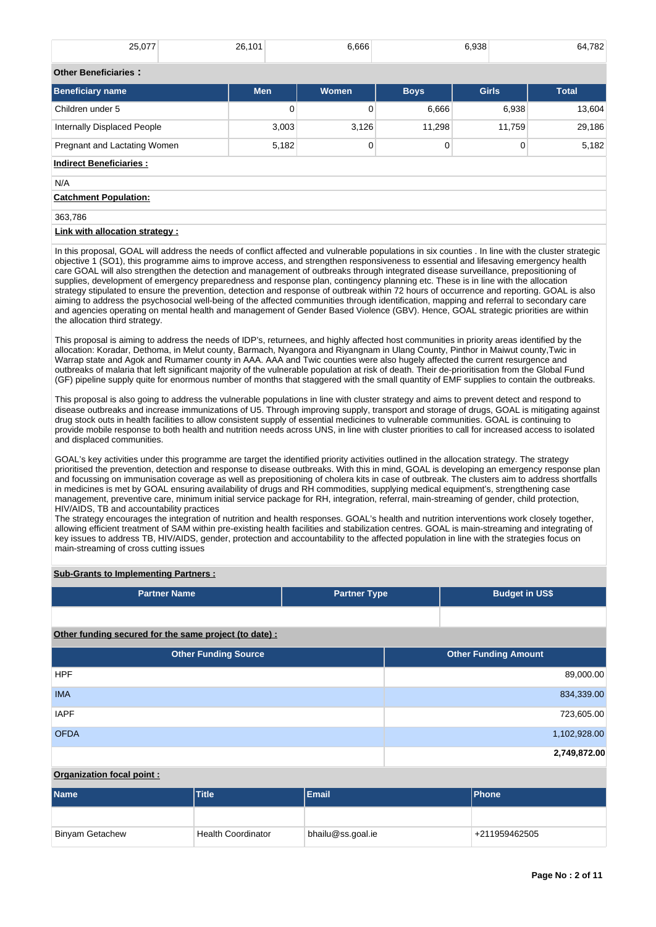| 25,077                      | 26,101     | 6,666 |             | 6,938        | 64.782       |
|-----------------------------|------------|-------|-------------|--------------|--------------|
| <b>Other Beneficiaries:</b> |            |       |             |              |              |
| <b>Beneficiary name</b>     | <b>Men</b> | Women | <b>Boys</b> | <b>Girls</b> | <b>Total</b> |
| Children under 5            |            | 0     | 6,666       | 6,938        | 13.604       |

# Internally Displaced People 29,186 3,003 3,126 11,298 11,759 29,186 Pregnant and Lactating Women **5,182** 0 0 0 0 5,182

# **Indirect Beneficiaries :** N/A **Catchment Population:** 363,786

# **Link with allocation strategy :**

In this proposal, GOAL will address the needs of conflict affected and vulnerable populations in six counties . In line with the cluster strategic objective 1 (SO1), this programme aims to improve access, and strengthen responsiveness to essential and lifesaving emergency health care GOAL will also strengthen the detection and management of outbreaks through integrated disease surveillance, prepositioning of supplies, development of emergency preparedness and response plan, contingency planning etc. These is in line with the allocation strategy stipulated to ensure the prevention, detection and response of outbreak within 72 hours of occurrence and reporting. GOAL is also aiming to address the psychosocial well-being of the affected communities through identification, mapping and referral to secondary care and agencies operating on mental health and management of Gender Based Violence (GBV). Hence, GOAL strategic priorities are within the allocation third strategy.

This proposal is aiming to address the needs of IDP's, returnees, and highly affected host communities in priority areas identified by the allocation: Koradar, Dethoma, in Melut county, Barmach, Nyangora and Riyangnam in Ulang County, Pinthor in Maiwut county,Twic in Warrap state and Agok and Rumamer county in AAA. AAA and Twic counties were also hugely affected the current resurgence and outbreaks of malaria that left significant majority of the vulnerable population at risk of death. Their de-prioritisation from the Global Fund (GF) pipeline supply quite for enormous number of months that staggered with the small quantity of EMF supplies to contain the outbreaks.

This proposal is also going to address the vulnerable populations in line with cluster strategy and aims to prevent detect and respond to disease outbreaks and increase immunizations of U5. Through improving supply, transport and storage of drugs, GOAL is mitigating against drug stock outs in health facilities to allow consistent supply of essential medicines to vulnerable communities. GOAL is continuing to provide mobile response to both health and nutrition needs across UNS, in line with cluster priorities to call for increased access to isolated and displaced communities.

GOAL's key activities under this programme are target the identified priority activities outlined in the allocation strategy. The strategy prioritised the prevention, detection and response to disease outbreaks. With this in mind, GOAL is developing an emergency response plan and focussing on immunisation coverage as well as prepositioning of cholera kits in case of outbreak. The clusters aim to address shortfalls in medicines is met by GOAL ensuring availability of drugs and RH commodities, supplying medical equipment's, strengthening case management, preventive care, minimum initial service package for RH, integration, referral, main-streaming of gender, child protection, HIV/AIDS, TB and accountability practices

The strategy encourages the integration of nutrition and health responses. GOAL's health and nutrition interventions work closely together, allowing efficient treatment of SAM within pre-existing health facilities and stabilization centres. GOAL is main-streaming and integrating of key issues to address TB, HIV/AIDS, gender, protection and accountability to the affected population in line with the strategies focus on main-streaming of cross cutting issues

# **Sub-Grants to Implementing Partners :**

| <b>Partner Name</b>                                   | <b>Partner Type</b> | <b>Budget in US\$</b>       |
|-------------------------------------------------------|---------------------|-----------------------------|
|                                                       |                     |                             |
| Other funding secured for the same project (to date): |                     |                             |
| <b>Other Funding Source</b>                           |                     | <b>Other Funding Amount</b> |
| <b>HPF</b>                                            |                     | 89,000.00                   |
| <b>IMA</b>                                            |                     | 834,339.00                  |
| <b>IAPF</b>                                           |                     | 723,605.00                  |
| <b>OFDA</b>                                           |                     | 1,102,928.00                |
|                                                       |                     | 2,749,872.00                |

# **Organization focal point :**

| <b>Name</b>            | <b>Title</b>              | <b>Email</b>      | <b>IPhone</b> |
|------------------------|---------------------------|-------------------|---------------|
|                        |                           |                   |               |
| <b>Binyam Getachew</b> | <b>Health Coordinator</b> | bhailu@ss.goal.ie | +211959462505 |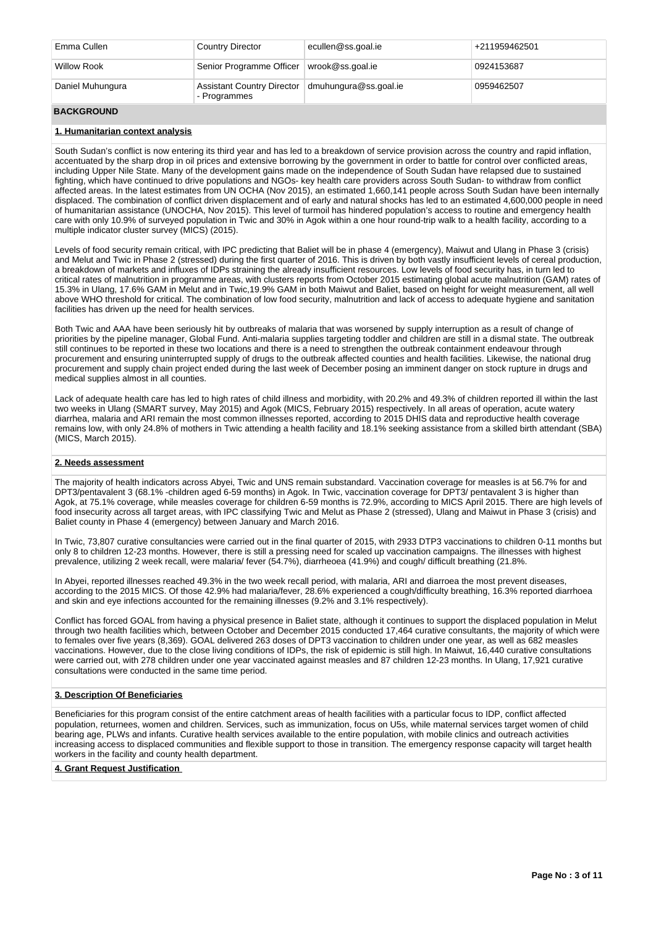| Emma Cullen      | <b>Country Director</b>                                            | ecullen@ss.goal.ie | +211959462501 |
|------------------|--------------------------------------------------------------------|--------------------|---------------|
| Willow Rook      | Senior Programme Officer                                           | wrook@ss.goal.ie   | 0924153687    |
| Daniel Muhungura | Assistant Country Director   dmuhungura@ss.goal.ie<br>- Programmes |                    | 0959462507    |
|                  |                                                                    |                    |               |

## **BACKGROUND**

#### **1. Humanitarian context analysis**

South Sudan's conflict is now entering its third year and has led to a breakdown of service provision across the country and rapid inflation, accentuated by the sharp drop in oil prices and extensive borrowing by the government in order to battle for control over conflicted areas, including Upper Nile State. Many of the development gains made on the independence of South Sudan have relapsed due to sustained fighting, which have continued to drive populations and NGOs- key health care providers across South Sudan- to withdraw from conflict affected areas. In the latest estimates from UN OCHA (Nov 2015), an estimated 1,660,141 people across South Sudan have been internally displaced. The combination of conflict driven displacement and of early and natural shocks has led to an estimated 4,600,000 people in need of humanitarian assistance (UNOCHA, Nov 2015). This level of turmoil has hindered population's access to routine and emergency health care with only 10.9% of surveyed population in Twic and 30% in Agok within a one hour round-trip walk to a health facility, according to a multiple indicator cluster survey (MICS) (2015).

Levels of food security remain critical, with IPC predicting that Baliet will be in phase 4 (emergency), Maiwut and Ulang in Phase 3 (crisis) and Melut and Twic in Phase 2 (stressed) during the first quarter of 2016. This is driven by both vastly insufficient levels of cereal production, a breakdown of markets and influxes of IDPs straining the already insufficient resources. Low levels of food security has, in turn led to critical rates of malnutrition in programme areas, with clusters reports from October 2015 estimating global acute malnutrition (GAM) rates of 15.3% in Ulang, 17.6% GAM in Melut and in Twic,19.9% GAM in both Maiwut and Baliet, based on height for weight measurement, all well above WHO threshold for critical. The combination of low food security, malnutrition and lack of access to adequate hygiene and sanitation facilities has driven up the need for health services.

Both Twic and AAA have been seriously hit by outbreaks of malaria that was worsened by supply interruption as a result of change of priorities by the pipeline manager, Global Fund. Anti-malaria supplies targeting toddler and children are still in a dismal state. The outbreak still continues to be reported in these two locations and there is a need to strengthen the outbreak containment endeavour through procurement and ensuring uninterrupted supply of drugs to the outbreak affected counties and health facilities. Likewise, the national drug procurement and supply chain project ended during the last week of December posing an imminent danger on stock rupture in drugs and medical supplies almost in all counties.

Lack of adequate health care has led to high rates of child illness and morbidity, with 20.2% and 49.3% of children reported ill within the last two weeks in Ulang (SMART survey, May 2015) and Agok (MICS, February 2015) respectively. In all areas of operation, acute watery diarrhea, malaria and ARI remain the most common illnesses reported, according to 2015 DHIS data and reproductive health coverage remains low, with only 24.8% of mothers in Twic attending a health facility and 18.1% seeking assistance from a skilled birth attendant (SBA) (MICS, March 2015).

#### **2. Needs assessment**

The majority of health indicators across Abyei, Twic and UNS remain substandard. Vaccination coverage for measles is at 56.7% for and DPT3/pentavalent 3 (68.1% -children aged 6-59 months) in Agok. In Twic, vaccination coverage for DPT3/ pentavalent 3 is higher than Agok, at 75.1% coverage, while measles coverage for children 6-59 months is 72.9%, according to MICS April 2015. There are high levels of food insecurity across all target areas, with IPC classifying Twic and Melut as Phase 2 (stressed), Ulang and Maiwut in Phase 3 (crisis) and Baliet county in Phase 4 (emergency) between January and March 2016.

In Twic, 73,807 curative consultancies were carried out in the final quarter of 2015, with 2933 DTP3 vaccinations to children 0-11 months but only 8 to children 12-23 months. However, there is still a pressing need for scaled up vaccination campaigns. The illnesses with highest prevalence, utilizing 2 week recall, were malaria/ fever (54.7%), diarrheoea (41.9%) and cough/ difficult breathing (21.8%.

In Abyei, reported illnesses reached 49.3% in the two week recall period, with malaria, ARI and diarroea the most prevent diseases, according to the 2015 MICS. Of those 42.9% had malaria/fever, 28.6% experienced a cough/difficulty breathing, 16.3% reported diarrhoea and skin and eye infections accounted for the remaining illnesses (9.2% and 3.1% respectively).

Conflict has forced GOAL from having a physical presence in Baliet state, although it continues to support the displaced population in Melut through two health facilities which, between October and December 2015 conducted 17,464 curative consultants, the majority of which were to females over five years (8,369). GOAL delivered 263 doses of DPT3 vaccination to children under one year, as well as 682 measles vaccinations. However, due to the close living conditions of IDPs, the risk of epidemic is still high. In Maiwut, 16,440 curative consultations were carried out, with 278 children under one year vaccinated against measles and 87 children 12-23 months. In Ulang, 17,921 curative consultations were conducted in the same time period.

#### **3. Description Of Beneficiaries**

Beneficiaries for this program consist of the entire catchment areas of health facilities with a particular focus to IDP, conflict affected population, returnees, women and children. Services, such as immunization, focus on U5s, while maternal services target women of child bearing age, PLWs and infants. Curative health services available to the entire population, with mobile clinics and outreach activities increasing access to displaced communities and flexible support to those in transition. The emergency response capacity will target health workers in the facility and county health department.

#### **4. Grant Request Justification**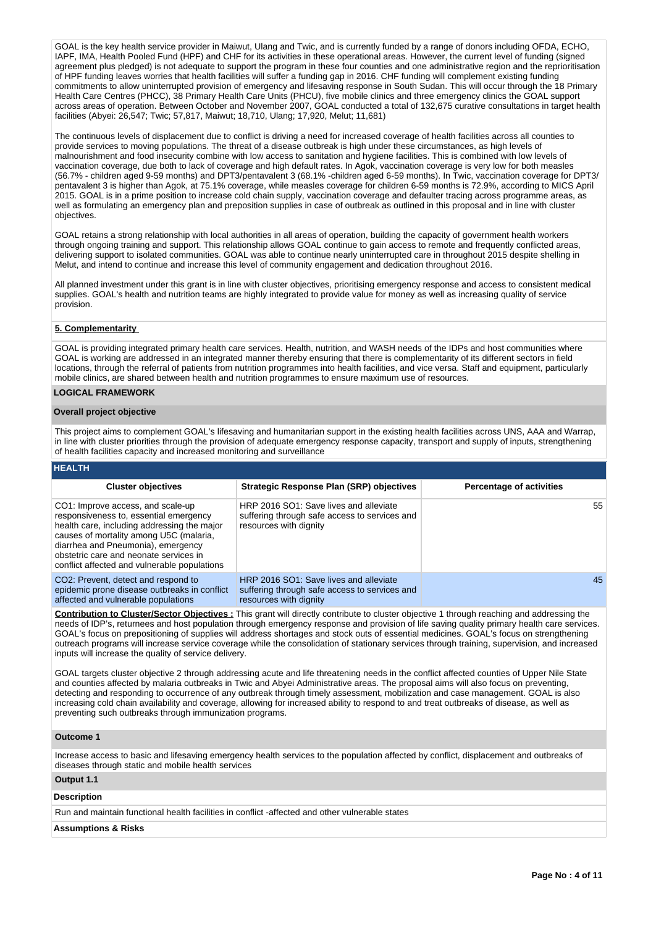GOAL is the key health service provider in Maiwut, Ulang and Twic, and is currently funded by a range of donors including OFDA, ECHO, IAPF, IMA, Health Pooled Fund (HPF) and CHF for its activities in these operational areas. However, the current level of funding (signed agreement plus pledged) is not adequate to support the program in these four counties and one administrative region and the reprioritisation of HPF funding leaves worries that health facilities will suffer a funding gap in 2016. CHF funding will complement existing funding commitments to allow uninterrupted provision of emergency and lifesaving response in South Sudan. This will occur through the 18 Primary Health Care Centres (PHCC), 38 Primary Health Care Units (PHCU), five mobile clinics and three emergency clinics the GOAL support across areas of operation. Between October and November 2007, GOAL conducted a total of 132,675 curative consultations in target health facilities (Abyei: 26,547; Twic; 57,817, Maiwut; 18,710, Ulang; 17,920, Melut; 11,681)

The continuous levels of displacement due to conflict is driving a need for increased coverage of health facilities across all counties to provide services to moving populations. The threat of a disease outbreak is high under these circumstances, as high levels of malnourishment and food insecurity combine with low access to sanitation and hygiene facilities. This is combined with low levels of vaccination coverage, due both to lack of coverage and high default rates. In Agok, vaccination coverage is very low for both measles (56.7% - children aged 9-59 months) and DPT3/pentavalent 3 (68.1% -children aged 6-59 months). In Twic, vaccination coverage for DPT3/ pentavalent 3 is higher than Agok, at 75.1% coverage, while measles coverage for children 6-59 months is 72.9%, according to MICS April 2015. GOAL is in a prime position to increase cold chain supply, vaccination coverage and defaulter tracing across programme areas, as well as formulating an emergency plan and preposition supplies in case of outbreak as outlined in this proposal and in line with cluster objectives.

GOAL retains a strong relationship with local authorities in all areas of operation, building the capacity of government health workers through ongoing training and support. This relationship allows GOAL continue to gain access to remote and frequently conflicted areas, delivering support to isolated communities. GOAL was able to continue nearly uninterrupted care in throughout 2015 despite shelling in Melut, and intend to continue and increase this level of community engagement and dedication throughout 2016.

All planned investment under this grant is in line with cluster objectives, prioritising emergency response and access to consistent medical supplies. GOAL's health and nutrition teams are highly integrated to provide value for money as well as increasing quality of service provision.

#### **5. Complementarity**

GOAL is providing integrated primary health care services. Health, nutrition, and WASH needs of the IDPs and host communities where GOAL is working are addressed in an integrated manner thereby ensuring that there is complementarity of its different sectors in field locations, through the referral of patients from nutrition programmes into health facilities, and vice versa. Staff and equipment, particularly mobile clinics, are shared between health and nutrition programmes to ensure maximum use of resources.

# **LOGICAL FRAMEWORK**

#### **Overall project objective**

This project aims to complement GOAL's lifesaving and humanitarian support in the existing health facilities across UNS, AAA and Warrap, in line with cluster priorities through the provision of adequate emergency response capacity, transport and supply of inputs, strengthening of health facilities capacity and increased monitoring and surveillance

## **HEALTH**

| <b>Cluster objectives</b>                                                                                                                                                                                                                                                                             | <b>Strategic Response Plan (SRP) objectives</b>                                                                   | <b>Percentage of activities</b> |
|-------------------------------------------------------------------------------------------------------------------------------------------------------------------------------------------------------------------------------------------------------------------------------------------------------|-------------------------------------------------------------------------------------------------------------------|---------------------------------|
| CO1: Improve access, and scale-up<br>responsiveness to, essential emergency<br>health care, including addressing the major<br>causes of mortality among U5C (malaria,<br>diarrhea and Pneumonia), emergency<br>obstetric care and neonate services in<br>conflict affected and vulnerable populations | HRP 2016 SO1: Save lives and alleviate<br>suffering through safe access to services and<br>resources with dignity | 55                              |
| CO <sub>2</sub> : Prevent, detect and respond to<br>epidemic prone disease outbreaks in conflict<br>affected and vulnerable populations                                                                                                                                                               | HRP 2016 SO1: Save lives and alleviate<br>suffering through safe access to services and<br>resources with dignity | 45                              |

**Contribution to Cluster/Sector Objectives :** This grant will directly contribute to cluster objective 1 through reaching and addressing the needs of IDP's, returnees and host population through emergency response and provision of life saving quality primary health care services. GOAL's focus on prepositioning of supplies will address shortages and stock outs of essential medicines. GOAL's focus on strengthening outreach programs will increase service coverage while the consolidation of stationary services through training, supervision, and increased inputs will increase the quality of service delivery.

GOAL targets cluster objective 2 through addressing acute and life threatening needs in the conflict affected counties of Upper Nile State and counties affected by malaria outbreaks in Twic and Abyei Administrative areas. The proposal aims will also focus on preventing, detecting and responding to occurrence of any outbreak through timely assessment, mobilization and case management. GOAL is also increasing cold chain availability and coverage, allowing for increased ability to respond to and treat outbreaks of disease, as well as preventing such outbreaks through immunization programs.

#### **Outcome 1**

Increase access to basic and lifesaving emergency health services to the population affected by conflict, displacement and outbreaks of diseases through static and mobile health services

# **Output 1.1**

# **Description**

Run and maintain functional health facilities in conflict -affected and other vulnerable states

#### **Assumptions & Risks**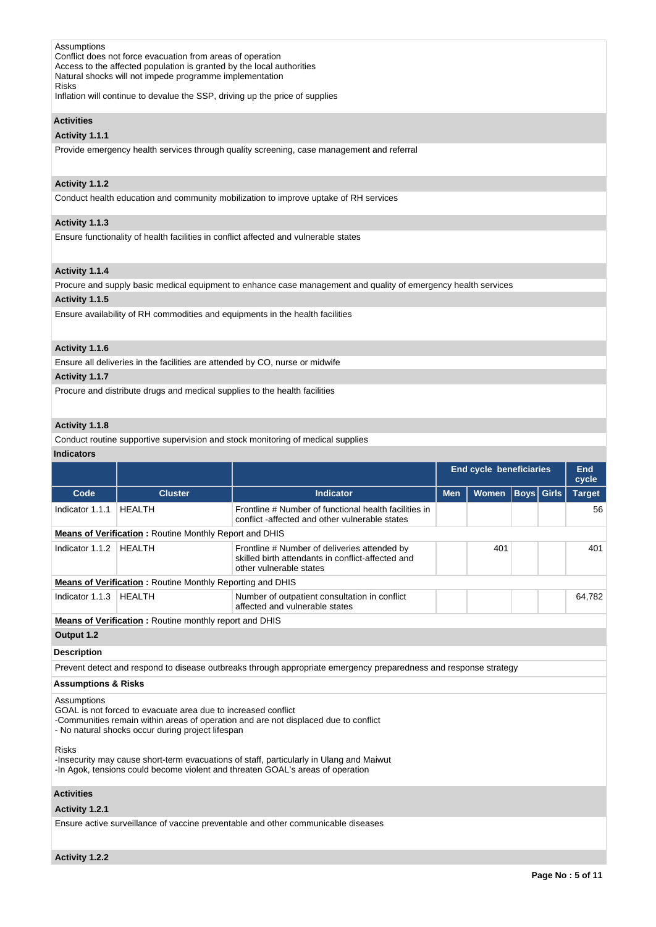| Assumptions                                                                  |  |
|------------------------------------------------------------------------------|--|
| Conflict does not force evacuation from areas of operation                   |  |
| Access to the affected population is granted by the local authorities        |  |
| Natural shocks will not impede programme implementation                      |  |
| <b>Risks</b>                                                                 |  |
| Inflation will continue to devalue the SSP, driving up the price of supplies |  |

**Activities**

## **Activity 1.1.1**

Provide emergency health services through quality screening, case management and referral

# **Activity 1.1.2**

Conduct health education and community mobilization to improve uptake of RH services

# **Activity 1.1.3**

Ensure functionality of health facilities in conflict affected and vulnerable states

# **Activity 1.1.4**

Procure and supply basic medical equipment to enhance case management and quality of emergency health services

# **Activity 1.1.5**

Ensure availability of RH commodities and equipments in the health facilities

# **Activity 1.1.6**

Ensure all deliveries in the facilities are attended by CO, nurse or midwife

# **Activity 1.1.7**

Procure and distribute drugs and medical supplies to the health facilities

# **Activity 1.1.8**

Conduct routine supportive supervision and stock monitoring of medical supplies

#### **Indicators**

|                                                                                                                                                                                           |                                                                                                                    |                                                                                                                              | <b>End cycle beneficiaries</b> |              |  | End<br>cycle      |               |
|-------------------------------------------------------------------------------------------------------------------------------------------------------------------------------------------|--------------------------------------------------------------------------------------------------------------------|------------------------------------------------------------------------------------------------------------------------------|--------------------------------|--------------|--|-------------------|---------------|
| Code                                                                                                                                                                                      | <b>Cluster</b>                                                                                                     | <b>Indicator</b>                                                                                                             | <b>Men</b>                     | <b>Women</b> |  | <b>Boys</b> Girls | <b>Target</b> |
| Indicator 1.1.1                                                                                                                                                                           | <b>HEALTH</b>                                                                                                      | Frontline # Number of functional health facilities in<br>conflict-affected and other vulnerable states                       |                                |              |  |                   | 56            |
|                                                                                                                                                                                           | <b>Means of Verification:</b> Routine Monthly Report and DHIS                                                      |                                                                                                                              |                                |              |  |                   |               |
| Indicator 1.1.2                                                                                                                                                                           | <b>HEALTH</b>                                                                                                      | Frontline # Number of deliveries attended by<br>skilled birth attendants in conflict-affected and<br>other vulnerable states |                                | 401          |  |                   | 401           |
|                                                                                                                                                                                           | <b>Means of Verification:</b> Routine Monthly Reporting and DHIS                                                   |                                                                                                                              |                                |              |  |                   |               |
| Indicator 1.1.3                                                                                                                                                                           | <b>HEALTH</b>                                                                                                      | Number of outpatient consultation in conflict<br>affected and vulnerable states                                              |                                |              |  |                   | 64.782        |
|                                                                                                                                                                                           | Means of Verification: Routine monthly report and DHIS                                                             |                                                                                                                              |                                |              |  |                   |               |
| Output 1.2                                                                                                                                                                                |                                                                                                                    |                                                                                                                              |                                |              |  |                   |               |
| <b>Description</b>                                                                                                                                                                        |                                                                                                                    |                                                                                                                              |                                |              |  |                   |               |
|                                                                                                                                                                                           |                                                                                                                    | Prevent detect and respond to disease outbreaks through appropriate emergency preparedness and response strategy             |                                |              |  |                   |               |
| <b>Assumptions &amp; Risks</b>                                                                                                                                                            |                                                                                                                    |                                                                                                                              |                                |              |  |                   |               |
| Assumptions                                                                                                                                                                               | GOAL is not forced to evacuate area due to increased conflict<br>- No natural shocks occur during project lifespan | -Communities remain within areas of operation and are not displaced due to conflict                                          |                                |              |  |                   |               |
| <b>Risks</b><br>-Insecurity may cause short-term evacuations of staff, particularly in Ulang and Maiwut<br>-In Agok, tensions could become violent and threaten GOAL's areas of operation |                                                                                                                    |                                                                                                                              |                                |              |  |                   |               |
| <b>Activities</b>                                                                                                                                                                         |                                                                                                                    |                                                                                                                              |                                |              |  |                   |               |
| Activity 1.2.1                                                                                                                                                                            |                                                                                                                    |                                                                                                                              |                                |              |  |                   |               |
|                                                                                                                                                                                           |                                                                                                                    | Ensure active surveillance of vaccine preventable and other communicable diseases                                            |                                |              |  |                   |               |
| Activity 1.2.2                                                                                                                                                                            |                                                                                                                    |                                                                                                                              |                                |              |  |                   |               |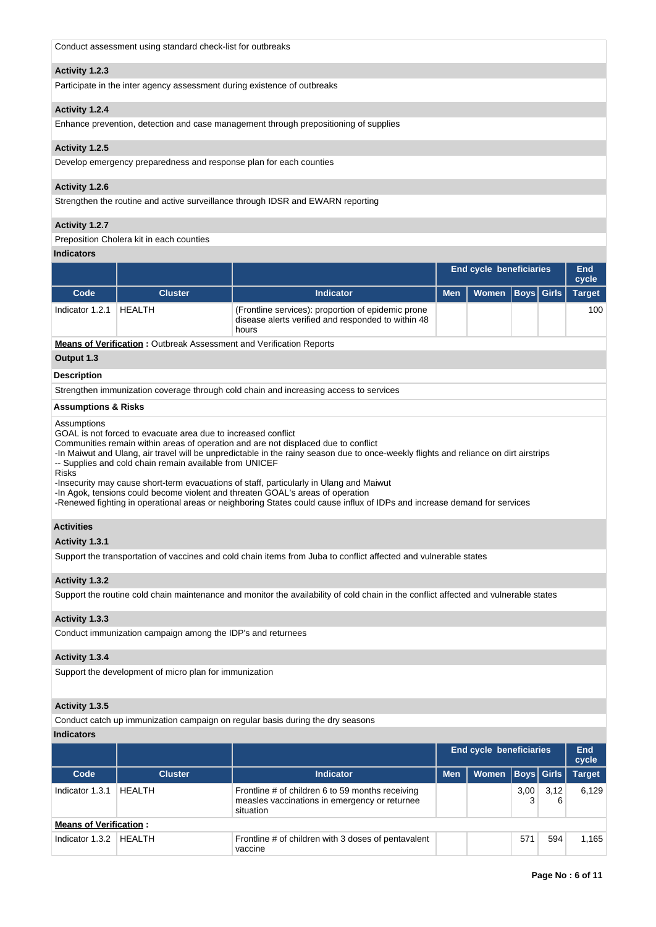|  | Conduct assessment using standard check-list for outbreaks |
|--|------------------------------------------------------------|
|--|------------------------------------------------------------|

#### **Activity 1.2.3**

Participate in the inter agency assessment during existence of outbreaks

## **Activity 1.2.4**

Enhance prevention, detection and case management through prepositioning of supplies

#### **Activity 1.2.5**

Develop emergency preparedness and response plan for each counties

# **Activity 1.2.6**

Strengthen the routine and active surveillance through IDSR and EWARN reporting

#### **Activity 1.2.7**

Preposition Cholera kit in each counties

#### **Indicators**

|                    |                                                                            |                                                                                                                   | End cycle beneficiaries |              | End<br>cycle |  |               |
|--------------------|----------------------------------------------------------------------------|-------------------------------------------------------------------------------------------------------------------|-------------------------|--------------|--------------|--|---------------|
| Code               | <b>Cluster</b>                                                             | Indicator                                                                                                         | <b>Men</b>              | <b>Women</b> | Boys  Girls  |  | <b>Target</b> |
| Indicator 1.2.1    | <b>HEALTH</b>                                                              | (Frontline services): proportion of epidemic prone<br>disease alerts verified and responded to within 48<br>hours |                         |              |              |  | 100           |
|                    | <b>Means of Verification: Outbreak Assessment and Verification Reports</b> |                                                                                                                   |                         |              |              |  |               |
| Output 1.3         |                                                                            |                                                                                                                   |                         |              |              |  |               |
| <b>Description</b> |                                                                            |                                                                                                                   |                         |              |              |  |               |
|                    |                                                                            | Strengthen immunization coverage through cold chain and increasing access to services                             |                         |              |              |  |               |
|                    |                                                                            |                                                                                                                   |                         |              |              |  |               |

# **Assumptions & Risks**

Assumptions

GOAL is not forced to evacuate area due to increased conflict

Communities remain within areas of operation and are not displaced due to conflict

-In Maiwut and Ulang, air travel will be unpredictable in the rainy season due to once-weekly flights and reliance on dirt airstrips -- Supplies and cold chain remain available from UNICEF

Risks

-Insecurity may cause short-term evacuations of staff, particularly in Ulang and Maiwut

-In Agok, tensions could become violent and threaten GOAL's areas of operation

-Renewed fighting in operational areas or neighboring States could cause influx of IDPs and increase demand for services

# **Activities**

#### **Activity 1.3.1**

Support the transportation of vaccines and cold chain items from Juba to conflict affected and vulnerable states

#### **Activity 1.3.2**

Support the routine cold chain maintenance and monitor the availability of cold chain in the conflict affected and vulnerable states

# **Activity 1.3.3**

Conduct immunization campaign among the IDP's and returnees

#### **Activity 1.3.4**

Support the development of micro plan for immunization

# **Activity 1.3.5**

Conduct catch up immunization campaign on regular basis during the dry seasons

#### **Indicators**

|                               |                |                                                                                                                | <b>End cycle beneficiaries</b> |       |           | End<br>cycle      |               |
|-------------------------------|----------------|----------------------------------------------------------------------------------------------------------------|--------------------------------|-------|-----------|-------------------|---------------|
| Code                          | <b>Cluster</b> | <b>Indicator</b>                                                                                               | <b>Men</b>                     | Women |           | <b>Boys Girls</b> | <b>Target</b> |
| Indicator 1.3.1               | HEALTH         | Frontline # of children 6 to 59 months receiving<br>measles vaccinations in emergency or returnee<br>situation |                                |       | 3,00<br>3 | 3.12<br>6         | 6.129         |
| <b>Means of Verification:</b> |                |                                                                                                                |                                |       |           |                   |               |
| Indicator 1.3.2               | HEALTH         | Frontline # of children with 3 doses of pentavalent<br>vaccine                                                 |                                |       | 571       | 594               | 1.165         |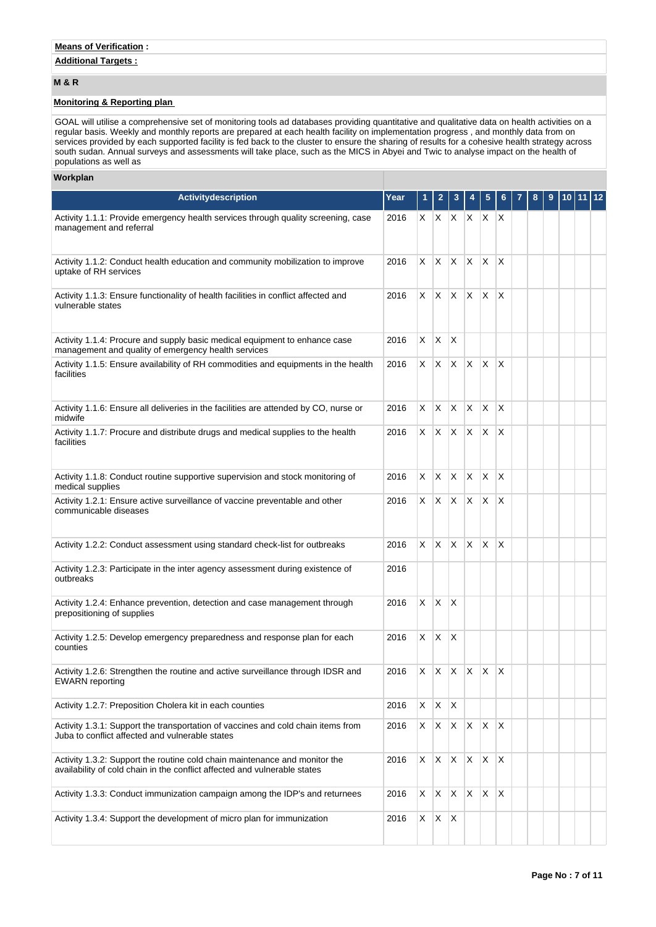# **Additional Targets :**

# **M & R**

# **Monitoring & Reporting plan**

GOAL will utilise a comprehensive set of monitoring tools ad databases providing quantitative and qualitative data on health activities on a regular basis. Weekly and monthly reports are prepared at each health facility on implementation progress , and monthly data from on services provided by each supported facility is fed back to the cluster to ensure the sharing of results for a cohesive health strategy across south sudan. Annual surveys and assessments will take place, such as the MICS in Abyei and Twic to analyse impact on the health of populations as well as

# **Workplan**

| <b>Activitydescription</b>                                                                                                                              | Year | 1  |              |                          |    | 5                       | 6                       | 8 | 9 | 10 | 11 | 12 |
|---------------------------------------------------------------------------------------------------------------------------------------------------------|------|----|--------------|--------------------------|----|-------------------------|-------------------------|---|---|----|----|----|
| Activity 1.1.1: Provide emergency health services through quality screening, case<br>management and referral                                            | 2016 |    |              | $X \mid X \mid X \mid X$ |    | X.                      | X                       |   |   |    |    |    |
| Activity 1.1.2: Conduct health education and community mobilization to improve<br>uptake of RH services                                                 | 2016 | X. |              | $X \times X$             |    | IX.                     | $\times$                |   |   |    |    |    |
| Activity 1.1.3: Ensure functionality of health facilities in conflict affected and<br>vulnerable states                                                 | 2016 | X. | X.           | X.                       | X. | X                       | X                       |   |   |    |    |    |
| Activity 1.1.4: Procure and supply basic medical equipment to enhance case<br>management and quality of emergency health services                       | 2016 | X  | X.           | $\mathsf{X}$             |    |                         |                         |   |   |    |    |    |
| Activity 1.1.5: Ensure availability of RH commodities and equipments in the health<br>facilities                                                        | 2016 | X. | $\mathsf{X}$ | ΙX.                      | X. | X                       | $\times$                |   |   |    |    |    |
| Activity 1.1.6: Ensure all deliveries in the facilities are attended by CO, nurse or<br>midwife                                                         | 2016 | X. | X.           | $\mathsf{X}$             | X  | X                       | $\times$                |   |   |    |    |    |
| Activity 1.1.7: Procure and distribute drugs and medical supplies to the health<br>facilities                                                           | 2016 |    | $X \times X$ |                          | X. | $\overline{\mathsf{x}}$ |                         |   |   |    |    |    |
| Activity 1.1.8: Conduct routine supportive supervision and stock monitoring of<br>medical supplies                                                      | 2016 | X  | IX.          | ΙX.                      | X  | X                       | X                       |   |   |    |    |    |
| Activity 1.2.1: Ensure active surveillance of vaccine preventable and other<br>communicable diseases                                                    | 2016 | X. | X.           | IX.                      | X. | X.                      | X                       |   |   |    |    |    |
| Activity 1.2.2: Conduct assessment using standard check-list for outbreaks                                                                              | 2016 | X. | X.           | ΙX.                      | X  | X                       | X                       |   |   |    |    |    |
| Activity 1.2.3: Participate in the inter agency assessment during existence of<br>outbreaks                                                             | 2016 |    |              |                          |    |                         |                         |   |   |    |    |    |
| Activity 1.2.4: Enhance prevention, detection and case management through<br>prepositioning of supplies                                                 | 2016 | X  | X.           | $\mathsf{X}$             |    |                         |                         |   |   |    |    |    |
| Activity 1.2.5: Develop emergency preparedness and response plan for each<br>counties                                                                   | 2016 | X  | <b>X</b>     | $\mathsf{X}$             |    |                         |                         |   |   |    |    |    |
| Activity 1.2.6: Strengthen the routine and active surveillance through IDSR and<br><b>EWARN</b> reporting                                               | 2016 | X. |              | $X \times X$             |    | X.                      | $\mathsf{X}$            |   |   |    |    |    |
| Activity 1.2.7: Preposition Cholera kit in each counties                                                                                                | 2016 | X. | X            | ΙX                       |    |                         |                         |   |   |    |    |    |
| Activity 1.3.1: Support the transportation of vaccines and cold chain items from<br>Juba to conflict affected and vulnerable states                     | 2016 | X. | X.           | X.                       | X. | X                       | X                       |   |   |    |    |    |
| Activity 1.3.2: Support the routine cold chain maintenance and monitor the<br>availability of cold chain in the conflict affected and vulnerable states | 2016 | X  | IX.          | X                        | X  | X                       | $\mathsf{X}$            |   |   |    |    |    |
| Activity 1.3.3: Conduct immunization campaign among the IDP's and returnees                                                                             | 2016 | X  | X            | X.                       | X  | $\mathsf{X}$            | $\overline{\mathsf{x}}$ |   |   |    |    |    |
| Activity 1.3.4: Support the development of micro plan for immunization                                                                                  | 2016 | X  | X            | ΙX.                      |    |                         |                         |   |   |    |    |    |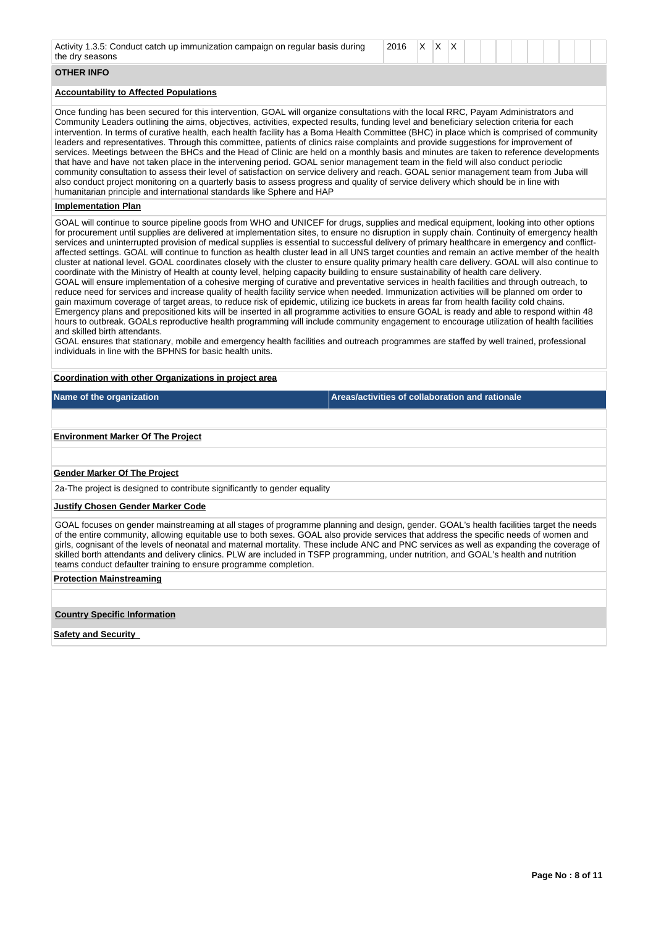| Activity 1.3.5: Conduct catch up immunization campaign on regular basis during<br>the dry seasons                                                                                                                                                                                                                                                                                                                                                                                                                                                                                                                                                                                                                                                                                                                                                                                                                                                                                                                                                                                                                                                                                                                                                                                                                                                                                                                                                                                                                                                                                                                                                                                                                                                                                                                                                         |                                                 | 2016 | X | ΙX. | ΙX. |  |  |  |
|-----------------------------------------------------------------------------------------------------------------------------------------------------------------------------------------------------------------------------------------------------------------------------------------------------------------------------------------------------------------------------------------------------------------------------------------------------------------------------------------------------------------------------------------------------------------------------------------------------------------------------------------------------------------------------------------------------------------------------------------------------------------------------------------------------------------------------------------------------------------------------------------------------------------------------------------------------------------------------------------------------------------------------------------------------------------------------------------------------------------------------------------------------------------------------------------------------------------------------------------------------------------------------------------------------------------------------------------------------------------------------------------------------------------------------------------------------------------------------------------------------------------------------------------------------------------------------------------------------------------------------------------------------------------------------------------------------------------------------------------------------------------------------------------------------------------------------------------------------------|-------------------------------------------------|------|---|-----|-----|--|--|--|
| <b>OTHER INFO</b>                                                                                                                                                                                                                                                                                                                                                                                                                                                                                                                                                                                                                                                                                                                                                                                                                                                                                                                                                                                                                                                                                                                                                                                                                                                                                                                                                                                                                                                                                                                                                                                                                                                                                                                                                                                                                                         |                                                 |      |   |     |     |  |  |  |
| <b>Accountability to Affected Populations</b>                                                                                                                                                                                                                                                                                                                                                                                                                                                                                                                                                                                                                                                                                                                                                                                                                                                                                                                                                                                                                                                                                                                                                                                                                                                                                                                                                                                                                                                                                                                                                                                                                                                                                                                                                                                                             |                                                 |      |   |     |     |  |  |  |
| Once funding has been secured for this intervention, GOAL will organize consultations with the local RRC, Payam Administrators and<br>Community Leaders outlining the aims, objectives, activities, expected results, funding level and beneficiary selection criteria for each<br>intervention. In terms of curative health, each health facility has a Boma Health Committee (BHC) in place which is comprised of community<br>leaders and representatives. Through this committee, patients of clinics raise complaints and provide suggestions for improvement of<br>services. Meetings between the BHCs and the Head of Clinic are held on a monthly basis and minutes are taken to reference developments<br>that have and have not taken place in the intervening period. GOAL senior management team in the field will also conduct periodic<br>community consultation to assess their level of satisfaction on service delivery and reach. GOAL senior management team from Juba will<br>also conduct project monitoring on a quarterly basis to assess progress and quality of service delivery which should be in line with<br>humanitarian principle and international standards like Sphere and HAP                                                                                                                                                                                                                                                                                                                                                                                                                                                                                                                                                                                                                                          |                                                 |      |   |     |     |  |  |  |
| <b>Implementation Plan</b>                                                                                                                                                                                                                                                                                                                                                                                                                                                                                                                                                                                                                                                                                                                                                                                                                                                                                                                                                                                                                                                                                                                                                                                                                                                                                                                                                                                                                                                                                                                                                                                                                                                                                                                                                                                                                                |                                                 |      |   |     |     |  |  |  |
| GOAL will continue to source pipeline goods from WHO and UNICEF for drugs, supplies and medical equipment, looking into other options<br>for procurement until supplies are delivered at implementation sites, to ensure no disruption in supply chain. Continuity of emergency health<br>services and uninterrupted provision of medical supplies is essential to successful delivery of primary healthcare in emergency and conflict-<br>affected settings. GOAL will continue to function as health cluster lead in all UNS target counties and remain an active member of the health<br>cluster at national level. GOAL coordinates closely with the cluster to ensure quality primary health care delivery. GOAL will also continue to<br>coordinate with the Ministry of Health at county level, helping capacity building to ensure sustainability of health care delivery.<br>GOAL will ensure implementation of a cohesive merging of curative and preventative services in health facilities and through outreach, to<br>reduce need for services and increase quality of health facility service when needed. Immunization activities will be planned om order to<br>gain maximum coverage of target areas, to reduce risk of epidemic, utilizing ice buckets in areas far from health facility cold chains.<br>Emergency plans and prepositioned kits will be inserted in all programme activities to ensure GOAL is ready and able to respond within 48<br>hours to outbreak. GOALs reproductive health programming will include community engagement to encourage utilization of health facilities<br>and skilled birth attendants.<br>GOAL ensures that stationary, mobile and emergency health facilities and outreach programmes are staffed by well trained, professional<br>individuals in line with the BPHNS for basic health units. |                                                 |      |   |     |     |  |  |  |
| Coordination with other Organizations in project area                                                                                                                                                                                                                                                                                                                                                                                                                                                                                                                                                                                                                                                                                                                                                                                                                                                                                                                                                                                                                                                                                                                                                                                                                                                                                                                                                                                                                                                                                                                                                                                                                                                                                                                                                                                                     |                                                 |      |   |     |     |  |  |  |
| Name of the organization                                                                                                                                                                                                                                                                                                                                                                                                                                                                                                                                                                                                                                                                                                                                                                                                                                                                                                                                                                                                                                                                                                                                                                                                                                                                                                                                                                                                                                                                                                                                                                                                                                                                                                                                                                                                                                  | Areas/activities of collaboration and rationale |      |   |     |     |  |  |  |
|                                                                                                                                                                                                                                                                                                                                                                                                                                                                                                                                                                                                                                                                                                                                                                                                                                                                                                                                                                                                                                                                                                                                                                                                                                                                                                                                                                                                                                                                                                                                                                                                                                                                                                                                                                                                                                                           |                                                 |      |   |     |     |  |  |  |
| <b>Environment Marker Of The Project</b>                                                                                                                                                                                                                                                                                                                                                                                                                                                                                                                                                                                                                                                                                                                                                                                                                                                                                                                                                                                                                                                                                                                                                                                                                                                                                                                                                                                                                                                                                                                                                                                                                                                                                                                                                                                                                  |                                                 |      |   |     |     |  |  |  |
| <b>Gender Marker Of The Project</b>                                                                                                                                                                                                                                                                                                                                                                                                                                                                                                                                                                                                                                                                                                                                                                                                                                                                                                                                                                                                                                                                                                                                                                                                                                                                                                                                                                                                                                                                                                                                                                                                                                                                                                                                                                                                                       |                                                 |      |   |     |     |  |  |  |
| 2a-The project is designed to contribute significantly to gender equality                                                                                                                                                                                                                                                                                                                                                                                                                                                                                                                                                                                                                                                                                                                                                                                                                                                                                                                                                                                                                                                                                                                                                                                                                                                                                                                                                                                                                                                                                                                                                                                                                                                                                                                                                                                 |                                                 |      |   |     |     |  |  |  |
| Justify Chosen Gender Marker Code                                                                                                                                                                                                                                                                                                                                                                                                                                                                                                                                                                                                                                                                                                                                                                                                                                                                                                                                                                                                                                                                                                                                                                                                                                                                                                                                                                                                                                                                                                                                                                                                                                                                                                                                                                                                                         |                                                 |      |   |     |     |  |  |  |
| GOAL focuses on gender mainstreaming at all stages of programme planning and design, gender. GOAL's health facilities target the needs<br>of the entire community, allowing equitable use to both sexes. GOAL also provide services that address the specific needs of women and<br>girls, cognisant of the levels of neonatal and maternal mortality. These include ANC and PNC services as well as expanding the coverage of<br>skilled borth attendants and delivery clinics. PLW are included in TSFP programming, under nutrition, and GOAL's health and nutrition                                                                                                                                                                                                                                                                                                                                                                                                                                                                                                                                                                                                                                                                                                                                                                                                                                                                                                                                                                                                                                                                                                                                                                                                                                                                                   |                                                 |      |   |     |     |  |  |  |

teams conduct defaulter training to ensure programme completion. **Protection Mainstreaming**

**Country Specific Information**

**Safety and Security**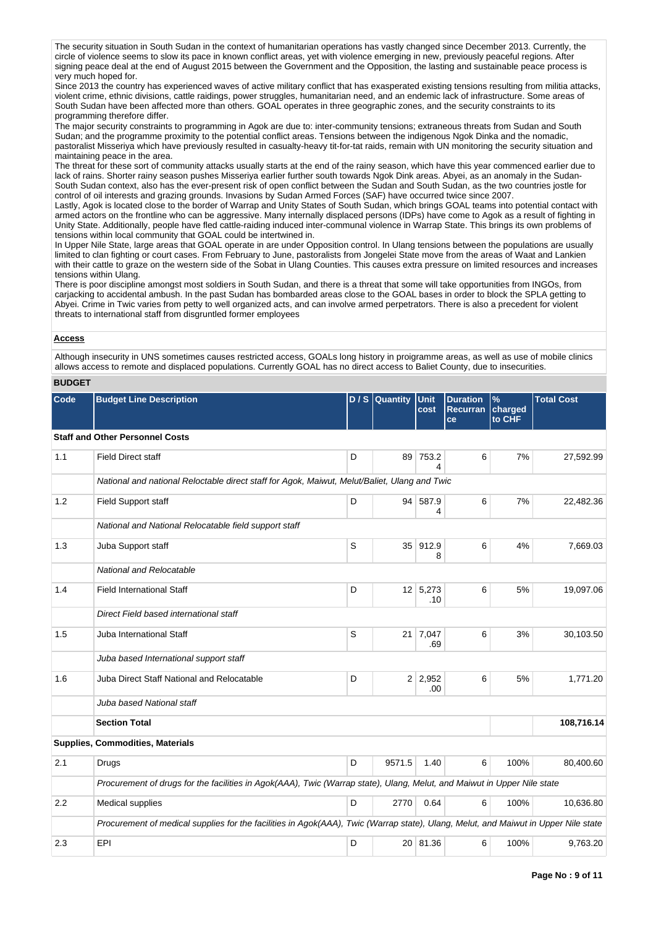The security situation in South Sudan in the context of humanitarian operations has vastly changed since December 2013. Currently, the circle of violence seems to slow its pace in known conflict areas, yet with violence emerging in new, previously peaceful regions. After signing peace deal at the end of August 2015 between the Government and the Opposition, the lasting and sustainable peace process is very much hoped for.

Since 2013 the country has experienced waves of active military conflict that has exasperated existing tensions resulting from militia attacks, violent crime, ethnic divisions, cattle raidings, power struggles, humanitarian need, and an endemic lack of infrastructure. Some areas of South Sudan have been affected more than others. GOAL operates in three geographic zones, and the security constraints to its programming therefore differ.

The major security constraints to programming in Agok are due to: inter-community tensions; extraneous threats from Sudan and South Sudan; and the programme proximity to the potential conflict areas. Tensions between the indigenous Ngok Dinka and the nomadic, pastoralist Misseriya which have previously resulted in casualty-heavy tit-for-tat raids, remain with UN monitoring the security situation and maintaining peace in the area.

The threat for these sort of community attacks usually starts at the end of the rainy season, which have this year commenced earlier due to lack of rains. Shorter rainy season pushes Misseriya earlier further south towards Ngok Dink areas. Abyei, as an anomaly in the Sudan-South Sudan context, also has the ever-present risk of open conflict between the Sudan and South Sudan, as the two countries jostle for control of oil interests and grazing grounds. Invasions by Sudan Armed Forces (SAF) have occurred twice since 2007.

Lastly, Agok is located close to the border of Warrap and Unity States of South Sudan, which brings GOAL teams into potential contact with armed actors on the frontline who can be aggressive. Many internally displaced persons (IDPs) have come to Agok as a result of fighting in Unity State. Additionally, people have fled cattle-raiding induced inter-communal violence in Warrap State. This brings its own problems of tensions within local community that GOAL could be intertwined in.

In Upper Nile State, large areas that GOAL operate in are under Opposition control. In Ulang tensions between the populations are usually limited to clan fighting or court cases. From February to June, pastoralists from Jongelei State move from the areas of Waat and Lankien with their cattle to graze on the western side of the Sobat in Ulang Counties. This causes extra pressure on limited resources and increases tensions within Ulang.

There is poor discipline amongst most soldiers in South Sudan, and there is a threat that some will take opportunities from INGOs, from carjacking to accidental ambush. In the past Sudan has bombarded areas close to the GOAL bases in order to block the SPLA getting to Abyei. Crime in Twic varies from petty to well organized acts, and can involve armed perpetrators. There is also a precedent for violent threats to international staff from disgruntled former employees

#### **Access**

Although insecurity in UNS sometimes causes restricted access, GOALs long history in proigramme areas, as well as use of mobile clinics allows access to remote and displaced populations. Currently GOAL has no direct access to Baliet County, due to insecurities.

#### **BUDGET**

| Code | <b>Budget Line Description</b>                                                                                                     |   | D / S Quantity | Unit<br>cost           | <b>Duration</b><br><b>Recurran</b><br>ce | $\%$<br>charged<br>to CHF | <b>Total Cost</b> |  |  |  |  |
|------|------------------------------------------------------------------------------------------------------------------------------------|---|----------------|------------------------|------------------------------------------|---------------------------|-------------------|--|--|--|--|
|      | <b>Staff and Other Personnel Costs</b>                                                                                             |   |                |                        |                                          |                           |                   |  |  |  |  |
| 1.1  | <b>Field Direct staff</b>                                                                                                          | D | 89             | 753.2<br>4             | 6                                        | 7%                        | 27,592.99         |  |  |  |  |
|      | National and national Reloctable direct staff for Agok, Maiwut, Melut/Baliet, Ulang and Twic                                       |   |                |                        |                                          |                           |                   |  |  |  |  |
| 1.2  | <b>Field Support staff</b>                                                                                                         | D |                | 94 587.9<br>4          | 6                                        | 7%                        | 22,482.36         |  |  |  |  |
|      | National and National Relocatable field support staff                                                                              |   |                |                        |                                          |                           |                   |  |  |  |  |
| 1.3  | Juba Support staff                                                                                                                 | S | 35             | 912.9<br>8             | 6                                        | 4%                        | 7,669.03          |  |  |  |  |
|      | National and Relocatable                                                                                                           |   |                |                        |                                          |                           |                   |  |  |  |  |
| 1.4  | <b>Field International Staff</b>                                                                                                   | D |                | $12 \mid 5,273$<br>.10 | 6                                        | 5%                        | 19,097.06         |  |  |  |  |
|      | Direct Field based international staff                                                                                             |   |                |                        |                                          |                           |                   |  |  |  |  |
| 1.5  | Juba International Staff                                                                                                           | S |                | 21 7,047<br>.69        | 6                                        | 3%                        | 30,103.50         |  |  |  |  |
|      | Juba based International support staff                                                                                             |   |                |                        |                                          |                           |                   |  |  |  |  |
| 1.6  | Juba Direct Staff National and Relocatable                                                                                         | D |                | $2 \mid 2,952$<br>.00  | 6                                        | 5%                        | 1,771.20          |  |  |  |  |
|      | Juba based National staff                                                                                                          |   |                |                        |                                          |                           |                   |  |  |  |  |
|      | <b>Section Total</b>                                                                                                               |   |                |                        |                                          |                           | 108,716.14        |  |  |  |  |
|      | Supplies, Commodities, Materials                                                                                                   |   |                |                        |                                          |                           |                   |  |  |  |  |
| 2.1  | Drugs                                                                                                                              | D | 9571.5         | 1.40                   | 6                                        | 100%                      | 80,400.60         |  |  |  |  |
|      | Procurement of drugs for the facilities in Agok(AAA), Twic (Warrap state), Ulang, Melut, and Maiwut in Upper Nile state            |   |                |                        |                                          |                           |                   |  |  |  |  |
| 2.2  | Medical supplies                                                                                                                   | D | 2770           | 0.64                   | 6                                        | 100%                      | 10,636.80         |  |  |  |  |
|      | Procurement of medical supplies for the facilities in Agok(AAA), Twic (Warrap state), Ulang, Melut, and Maiwut in Upper Nile state |   |                |                        |                                          |                           |                   |  |  |  |  |
| 2.3  | EPI                                                                                                                                | D |                | 20 81.36               | 6                                        | 100%                      | 9,763.20          |  |  |  |  |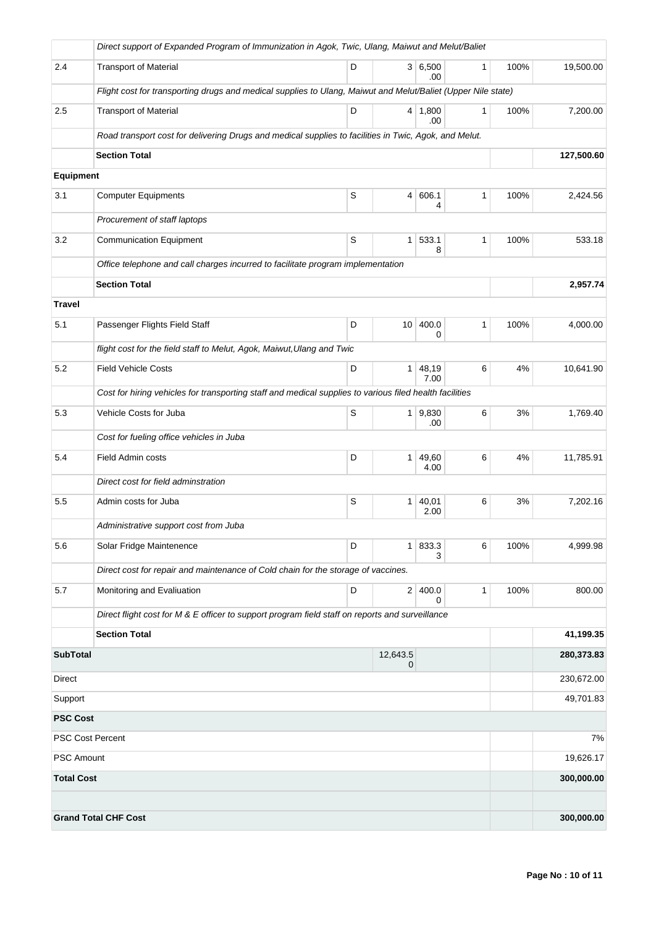|                         | Direct support of Expanded Program of Immunization in Agok, Twic, Ulang, Maiwut and Melut/Baliet             |   |                 |                       |              |      |            |
|-------------------------|--------------------------------------------------------------------------------------------------------------|---|-----------------|-----------------------|--------------|------|------------|
| 2.4                     | <b>Transport of Material</b>                                                                                 | D |                 | 3 6,500<br>.00        | 1            | 100% | 19,500.00  |
|                         | Flight cost for transporting drugs and medical supplies to Ulang, Maiwut and Melut/Baliet (Upper Nile state) |   |                 |                       |              |      |            |
| 2.5                     | <b>Transport of Material</b>                                                                                 | D |                 | $4 \mid 1,800$<br>.00 | $\mathbf{1}$ | 100% | 7,200.00   |
|                         | Road transport cost for delivering Drugs and medical supplies to facilities in Twic, Agok, and Melut.        |   |                 |                       |              |      |            |
|                         | <b>Section Total</b>                                                                                         |   |                 |                       |              |      | 127,500.60 |
| <b>Equipment</b>        |                                                                                                              |   |                 |                       |              |      |            |
| 3.1                     | <b>Computer Equipments</b>                                                                                   | S | 4               | 606.1<br>4            | 1            | 100% | 2,424.56   |
|                         | Procurement of staff laptops                                                                                 |   |                 |                       |              |      |            |
| 3.2                     | <b>Communication Equipment</b>                                                                               | S | $\mathbf{1}$    | 533.1<br>8            | $\mathbf{1}$ | 100% | 533.18     |
|                         | Office telephone and call charges incurred to facilitate program implementation                              |   |                 |                       |              |      |            |
|                         | <b>Section Total</b>                                                                                         |   |                 |                       |              |      | 2,957.74   |
| <b>Travel</b>           |                                                                                                              |   |                 |                       |              |      |            |
| 5.1                     | Passenger Flights Field Staff                                                                                | D | 10 <sup>1</sup> | 400.0<br>0            | 1            | 100% | 4,000.00   |
|                         | flight cost for the field staff to Melut, Agok, Maiwut, Ulang and Twic                                       |   |                 |                       |              |      |            |
| 5.2                     | <b>Field Vehicle Costs</b>                                                                                   | D | 1               | 48,19<br>7.00         | 6            | 4%   | 10,641.90  |
|                         | Cost for hiring vehicles for transporting staff and medical supplies to various filed health facilities      |   |                 |                       |              |      |            |
| 5.3                     | Vehicle Costs for Juba                                                                                       | S | 1 <sup>1</sup>  | 9,830<br>.00          | 6            | 3%   | 1,769.40   |
|                         | Cost for fueling office vehicles in Juba                                                                     |   |                 |                       |              |      |            |
| 5.4                     | Field Admin costs                                                                                            | D | 1 <sup>1</sup>  | 49,60<br>4.00         | 6            | 4%   | 11,785.91  |
|                         | Direct cost for field adminstration                                                                          |   |                 |                       |              |      |            |
| 5.5                     | Admin costs for Juba                                                                                         | S | 1 <sup>1</sup>  | 40,01<br>2.00         | 6            | 3%   | 7,202.16   |
|                         | Administrative support cost from Juba                                                                        |   |                 |                       |              |      |            |
| 5.6                     | Solar Fridge Maintenence                                                                                     | D | 1 <sup>1</sup>  | 833.3<br>З            | 6            | 100% | 4,999.98   |
|                         | Direct cost for repair and maintenance of Cold chain for the storage of vaccines.                            |   |                 |                       |              |      |            |
| 5.7                     | Monitoring and Evaliuation                                                                                   | D | 2 <sup>2</sup>  | 400.0<br>0            | $\mathbf{1}$ | 100% | 800.00     |
|                         | Direct flight cost for M & E officer to support program field staff on reports and surveillance              |   |                 |                       |              |      |            |
|                         | <b>Section Total</b>                                                                                         |   |                 |                       |              |      | 41,199.35  |
| <b>SubTotal</b>         |                                                                                                              |   | 12,643.5<br>0   |                       |              |      | 280,373.83 |
| <b>Direct</b>           |                                                                                                              |   |                 |                       |              |      | 230,672.00 |
| Support                 |                                                                                                              |   |                 |                       |              |      | 49,701.83  |
| <b>PSC Cost</b>         |                                                                                                              |   |                 |                       |              |      |            |
| <b>PSC Cost Percent</b> |                                                                                                              |   |                 |                       |              |      | 7%         |
| <b>PSC Amount</b>       |                                                                                                              |   |                 |                       |              |      | 19,626.17  |
| <b>Total Cost</b>       |                                                                                                              |   |                 |                       |              |      | 300,000.00 |
|                         |                                                                                                              |   |                 |                       |              |      |            |
|                         | <b>Grand Total CHF Cost</b>                                                                                  |   |                 |                       |              |      | 300,000.00 |